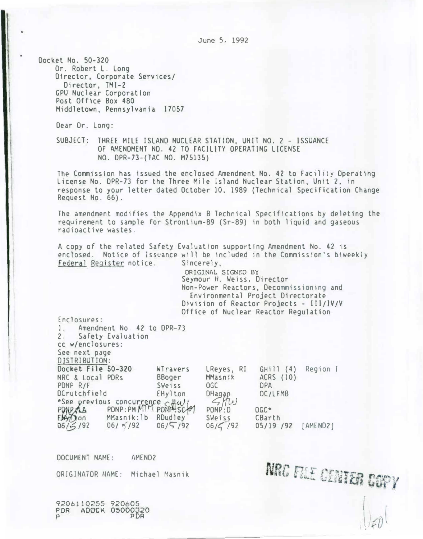June 5, 1992

Docket No. 50-320 Or. Robert L. Long Director, Corporate Services/ Director, TMI-2 GPU Nuclear Corporation Post Office Box 480 Middletown, Pennsylvania 17057

Dear Dr. Long:

SUBJECT: THREE MILE ISLAND NUCLEAR STATION, UNIT NO. 2 - ISSUANCE OF AMENDMENT ND. 42 TO FACILITY OPERATING LICENSE NO. OPR-73-(TAC NO. M75135)

The Commission has issued the enclosed Amendment No. 42 to Facility Operating License No. OPR-73 for the Three Mile Island Nuclear Station, Unit 2, in response to your letter dated October 10, 1989 (Technical Specification Change Request No. 66).

The amendment modifies the Appendix B Technical Specifications by deleting the requirement to sample for Strontium-89 (Sr-89) in both liquid and gaseous radioactive wastes.

A copy of the related Safety Evaluation supporting Amendment No. 42 is enclosed. Notice of Issuance will be included in the Commission's biweekly Federal Register notice. Sincerely.

> ORIGINAL SIGNED BY Seymour H. Weiss, Director Non-Power Reactors, Decommissioning and Environmental Project Directorate Division of Reactor Projects - III/IV/V Office of Nuclear Reactor Regulation

Enclosures: 1. Amendment No. 42 to DPR-73  $2.$ Safety Evaluation CC w/enclosures: See next page DISTRIBUTION: Docket File 50-320 WTravers NRC & Local PDRs BBoger PDNP R/F OGC Sweiss DCrutchfield EHylton "See previous concurrence two Elynon MMasnik: 1b RDudley  $06/5/92$  $06/5/92$  $06/5/92$ 

LReyes, RI GHill (4) Region I MMasnik ACRS (10) **DPA**  $Magg$ OC/LFMB PONP:D  $DGC*$ Sweiss CBarth  $06/\zeta$  /92 05/19 /92 [AMEND2]

NRC FILE CENTER COPY

DOCUMENT NAME: AMEND<sub>2</sub> ORIGINATOR NAME: Michael Masnik

9206110255 920605 PDR ADOCK 05000320 PDR  $\mathbf{p}$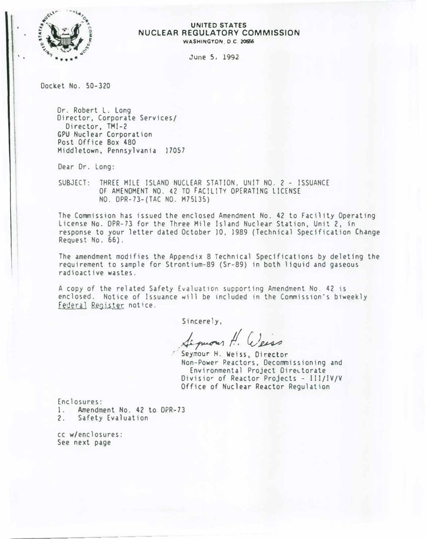

#### UNITED STATES NUCLEAR REGULATORY COMMISSION WASHINGTON. D.C. 20556

June 5, 1992

Docket No. 50-320

Or. Robert L. Long Director, Corporate Services/ Director, TMI-2 GPU Nuclear Corporation Post Office Box 480 Middletown, Pennsylvania 17057

Dear Dr. Long:

SUBJECT: THREE MILE ISLAND NUCLEAR STATION. UNIT NO. 2 - ISSUANCE OF AMENDMENT NO. 42 TO FACILITY OPERATING LICENSE NO. OPR-73-(TAC NO. M75135)

The Commission has issued the enclosed Amendment No. 42 to Facility Operating License No. DPR-73 for the Three Mile Island Nuclear Station, Unit 2, in response to your letter dated October 10, 1989 (Technical Specification Change Request No. 66).

The amendment modifies the Appendix 8 Technical Specifications by deleting the requirement to sample for Strontium-89 (Sr-89) in both liquid and gaseous radioactive wastes.

A copy of the related Safety Evaluat1on supporting Amendment No. 42 is enclosed. Notice of Issuance will be included in the Commission's biweekly Federal Register notice.

Sincerely,

Sequences H. Cleiss

Non-Power P.eactors, Decommissioning and Environmental Project Directorate Divisior of Reactor Projects - III/IV/V Office of Nuclear Reactor Regulation

Enclosures: 1. Amendment No. 42 to DPR-73<br>2. Safety Evaluation Safety Evaluation

cc wjenclosures: See next page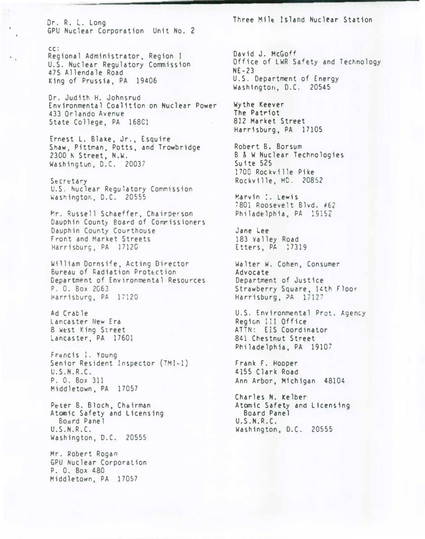Or. R. L. Long GPU Nuclear Corporation Unit No. 2

#### cc:

Regional Administrator, Region I U.S. Nuclear Regulatory Commission 475 Allendale Road King of Prussia, PA 19406

Or. Judith H. Johnsrud Environmental Coalition on Nuclear Power 433 Orlando Avenue State College, PA 168Cl

Ernest L. Bla�e. Jr., Esquire Shaw, Pittman, Potts, and Trowbridge 2300 � Street, N.W. Washingtun, D.C. 20037

Secretary U.S. �uclear Regulatory Commission Washington, D.C. 20555

�r. Russell Schaeffer, Chairperson Dauphin County Board of Commissioners Dauphin County Courthouse Front and Market Streets Harrisburg, PA 1712C

William Dornsife, Acting Director Bureau of Radiation Prot�ction Department of Environmental Resources P. O. Box 2G63 Harrisburg, PA 17120

Ad Crable Lancaster New Era 8 West King Street Lancaster, PA 17601

Francis 1. Young Senior Resident Inspector (TMI-1) U.S.N.R.C. P. 0. Box 311 Middletown, PA 17057

Peter B. Bloch, Chairman Atomic Safety and Licensing Bocrd Panel U.S.N.R.C. Washington, D.C. 20555

Mr. Robert Rogan GPU Nuclear Corporation P. 0. Box 480 Middletown, PA 17057

Three Milt Island Nuclear Station

David J. McGoff Office of LWR Safety and Technology NE-23 U.S. Department of Energy Washington, D.C. 20545

Wythe Keever The Patriot 812 Market Street Harrisburg, PA 17105

Robert B. Borsum B & W Nuclear Technologies Suite 525 1700 Rockville Pike Rockville, MO. 20852

Marvin :. Lewis 7801 Roosevelt Blvd. '62 Philadelphia, PA 19152

Jane Lee 183 Valley Road Etters, PA 17319

Walter W. Cohen, Consumer Advocate Department of Justice Strawberry Square, 14th Floor Harrisburg, PA 17127

U.S. Environmental Prot. Agency Region III Office ATTN: EIS Coordinator 841 Chestnut Street Philadelphia, PA 19107

Frank F. Hooper 4155 Clark Road Ann Arbor, Michigan 48104

Charles N. Kelber Atomic Safety and Licensing Board Panel U.S.N.R.C. Washington, D.C. 20555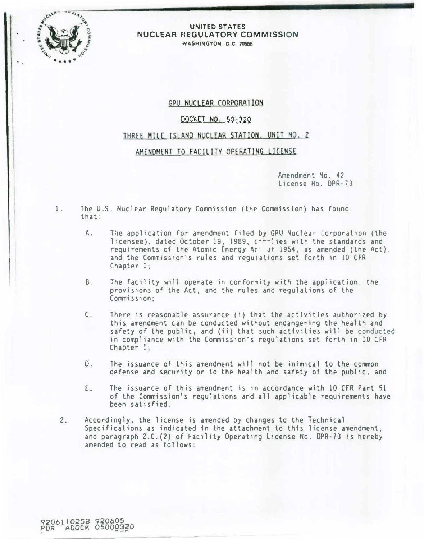

### UNITED STATES NUCLEAR FIEGULATORY COMMISSION WASHINGTON D.C. 20556

# GPU NUCLEAR CORPORATION

# DOCKET NO. 50-320

## THREE MILE ISLAND NUCLEAR STATION. UNIT NO. 2

# AMENDMENT TO FACILITY OPERATING LICENSE

Amendment No. 42 License No. DPR-73

- 1. The U.S. Nuclear Regulatory Commission (the Commission) has found that:
	- A. The application for amendment filed by GPU Nuclear Corporation (the licensee), dated October 19, 1989, commiles with the standards and requirements of the Atomic Energy Ac Jf 1954, as amended (the Act), and the Commission's rules and regulations set forth in 10 CFR Chapter I;
	- B. The facility will operate in conformity with the application, the provisions of the Act, and the rules and regulations of the Commission;
	- C. There is reasonable assurance (i} that the activities authorized by this amendment can be conducted without endangering the health and safety of the public, and (ii) that such activities will be conducted in compliance with the Commission's regulations set forth in 10 CFR Chapter I;
	- D. The issuance of this amendment will not be inimical to the common defense and security or to the health and safety of the public; and
	- E. The issuance of this amendment is in accordance with 10 CFR Part 51 of the Commission's regulations and all applicable requirements have been satisfied.
	- 2. Accordingly, the license is amended by changes to the Technical Specifications as indicated in the attachment to this license amendment, and paragraph 2.C.(2) of Facility Operating License No. DPR-73 is hereby amended to read as follows: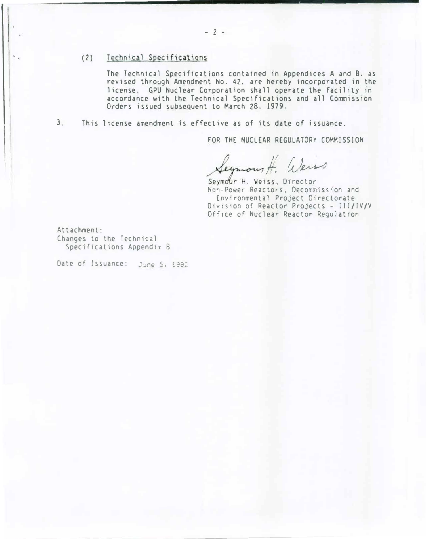## (2) Technical Specifications

The Technical Specifications contained in Appendices A and B, as revised through Amendment No. 42, are hereby incorporated in the license. GPU Nuclear Corporation shall operate the facility in accordance with the Technical Specifications and all Commission Orders issued subsequent to March 28, 1979.

 $3.$ This license amendment is effective as of its date of issuance.

FOR THE NUCLEAR REGULATORY COMMISSION

Seymour H. Wers

Seymour H. Weiss, Director Non-Power Reactors, Decommission and Environmental Project Directorate Division of Reactor Projects - III/IV/V Office of Nuclear Reactor Regulation

Attachment: Changes to the Technical Specifications Appendix B

Date of Issuance: June 5, 1992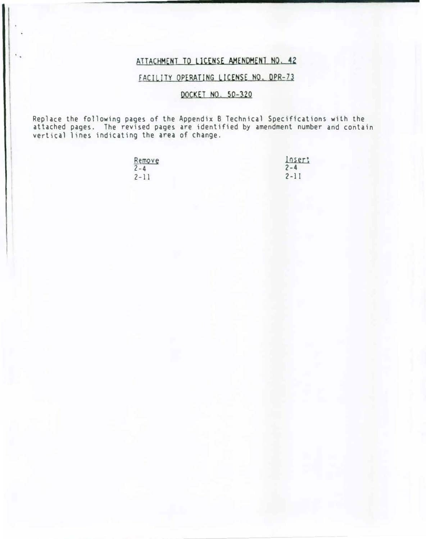# ATTACHMENT TO LICENSE AMENDMENT NO. 42

# FACILITY OPERATING LICENSE NO. DPR-73

# DQCKET NO. 50-320

Replace the following pages of the Appendix B Technical Specifications with the attached pages. The revised pages are identified by amendment number and contain vertical lines indicating the area of change.

| Remove   | <b>Losert</b> |
|----------|---------------|
| $2 - 4$  | $2 - 4$       |
| $2 - 11$ | $2 - 11$      |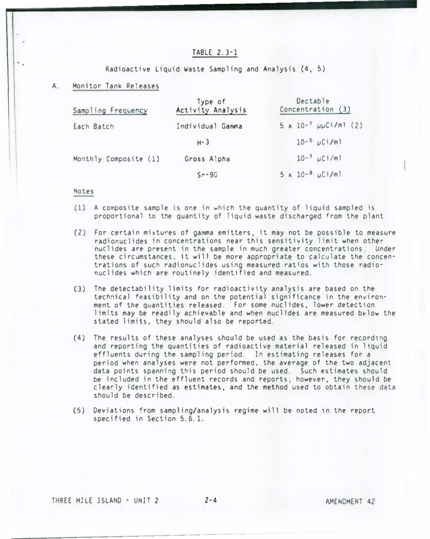### TABLE 2.3-1

Radioactive liquid Waste Sampling and Analysis (4, 5)

#### A. Monitor Tank Releases

| Sampling Frequency    | Type of<br>Activity Analysis | Dectable<br>Concentration (3)  |
|-----------------------|------------------------------|--------------------------------|
| Each Batch            | Individual Gamma             | $5 \times 10^{-7}$ µµCi/m1 (2) |
|                       | $H - 3$                      | $10-5$ $\mu$ Ci/ml             |
| Monthly Composite (1) | Gross Alpha                  | $10-7$ µCi/ml                  |
|                       | $Sr-90$                      | $5 \times 10^{-8} \mu$ Ci/ml   |

#### Notes

- (1) A composite sample is one in which the quantity of l1quid sampled is proportional to the quantity of liquid waste discharged from the plant
- (2) For certain mixtures of gamma emitters, it may not be possible to measure radionuclides in concentrations near this sensitivity limit when other nuclides are present in the sample in much greater concentrations Under these circumstances, it will be more appropriate to calculate the concentrations of such radionuclides using measured ratios with those radionuclides which are routinely identified and measured.
- (3) The detectability limits for radioactivity analysis are based on the technical feasibility and on the potential significance in the environment of the quantities released. For some nuclides, lower detection limits may be readily achievable and when nuclides are measured b�low the stated limits, they should also be reported.
- $(4)$  The results of these analyses should be used as the basis for recording and reporting the quantities of radioactive material released in liquid effluents during the sampling period. In estimating releases for a period when analyses were not performed, the average of the two adjacent data points spanning this period should be used. Such estimates should be included in the effluent records and reports; however, they should be clearly identified as estimates, and the method used to obtain these data should be described. Solution of the proposite sample is one<br>
(1) A composite sample is one<br>
proportional to the quanti<br>
(2) for certain mixtures of given<br>
radionuclides in concentration<br>
these circumstances, it with<br>
trations of such radionuc
	- (5) Deviations from sampling/analysis regime will be noted in the report specified in Section 5.6.1.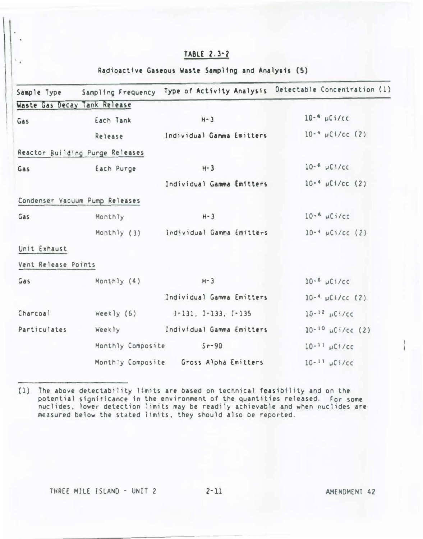# TABLE 2. 3· 2

### Radioactive Gaseous Waste Sampling and Analysis (5)

| Sample Type         |                                 | Sampling Frequency Type of Activity Analysis | Detectable Concentration (1) |
|---------------------|---------------------------------|----------------------------------------------|------------------------------|
|                     | Waste Gas Decay Tank Release    |                                              |                              |
| Gas                 | Each Tank                       | $H - 3$                                      | $10-6$ µCi/cc                |
|                     | Release                         | Individual Gamma Emitters                    | $10^{-4}$ µC1/cc (2)         |
|                     | Reactor Building Purge Releases |                                              |                              |
| Gas                 | Each Purge                      | $H - 3$                                      | $10-6$ $\mu$ C1/cc           |
|                     |                                 | Individual Gamma Emitters                    | $10^{-4}$ µCi/cc (2)         |
|                     | Condenser Vacuum Pump Releases  |                                              |                              |
| Monthly<br>Gas      | $H - 3$                         | $10-6$ $\mu$ Ci/cc                           |                              |
|                     |                                 | Monthly (3) Individual Gamma Emitters        | $10-4$ $\mu$ Ci/cc (2)       |
| Unit Exhaust        |                                 |                                              |                              |
| Vent Release Points |                                 |                                              |                              |
| Monthly (4)<br>Gas  | $H - 3$                         | $10-6$ $\mu$ Ci/cc                           |                              |
|                     |                                 | Individual Gamma Emitters                    | $10^{-4}$ µCi/cc (2)         |
| Charcoal            | Weekly $(6)$                    | $1 - 131, 1 - 133, 1 - 135$                  | $10-12$ $\mu$ Ci/cc          |
| Particulates        | Weekly                          | Individual Gamma Emitters                    | $10^{-10}$ $\mu$ Ci/cc (2)   |
|                     | Monthly Composite               | $S_{\Gamma} - 90$                            | $10 - 11$ $\mu$ Ci/cc        |
|                     |                                 | Monthly Composite Gross Alpha Emitters       | $10-11$ $\mu$ Ci/cc          |

<sup>(1)</sup> The above delectability limits are based on technical feasibility and on the potential significance in the environment of the quantities released. For some nuclides, lower detection limits may be readily achievable and when nuclides are measured below the stated limits, they should also be reported.

 $\ddot{\phantom{a}}$  .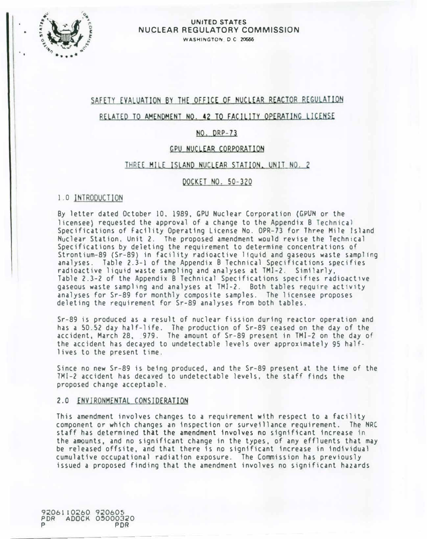

### UNITED STATES NUCLEAR REGULATORY COMMISSION WASHINGTON DC 20666

# SAFETY EVALUATION BY THE OFFICE OF NUCLEAR REACTOR REGULATION

## RELATED TO AMENDMENT NO. �2 TO FACILITY OPERATING LICENSE

# NO. DRP-73

## GPU NUCLEAR CORPORATION

### THREE MILE ISLAND NUCLEAR STATION. UNIT NO, 2

## DOCKET NO. 50-320

## 1.0 INTRODUCTION

By letter dated October 10, 1989, GPU Nuclear Corporation (GPUN or the licensee) requested the approval of a change to the Appendix B Technical Specifications of Facility Operating License No. OPR-73 for Three Mile Island Nuclear Station, Unit 2. The proposed amendment would revise the Technical Specifications by deleting the requirement to determine concentrations of Strontium-89 (Sr-89) in facility radioactive liquid and gaseous waste sampling analyses. Table 2.3-1 of the Appendix B Technical Specifications specifies radioactive liquid waste sampling and analyses at TMJ-2. Similarly, Table 2.3-2 of the Appendix B Technical Specifications specifies radioactive gaseous waste sampling and analyses at TMI-2. Both tables require activity analyses for Sr-89 for monthly composite samples. The licensee proposes deleting the requirement for Sr-89 analyses from both tables.

Sr-89 is produced as a result of nuclear fission during reactor operation and has a 50.52 day half-life. The production of Sr-89 ceased on the day of the accident, March 28, 979. The amount of Sr-89 present in TMI-2 on the day of the accident has decayed to undetectable levels over approximately 95 halflives to the present time.

Since no new Sr-89 is being produced, and the Sr-89 present at the time of the TMI-2 accident has decayed to undetectable levels, the staff finds the proposed change acceptaole.

## 2.0 ENVIRONMENTAL CONSIDERATION

This amendment involves changes to a requirement with respect to a facility component or which changes an inspection or surveillance requirement. The NRC staff has determined that the amendment involves no significant increase in the amounts, and no significant change in the types, of any effluents that may be released offsite, and that there is no significant increase in individual cumulative occupational radiation exposure. The Commission has previously issued a proposed finding that the amendment involves no significant hazards

9206110260 920605 PDR ADOCK 05000320 P PDR